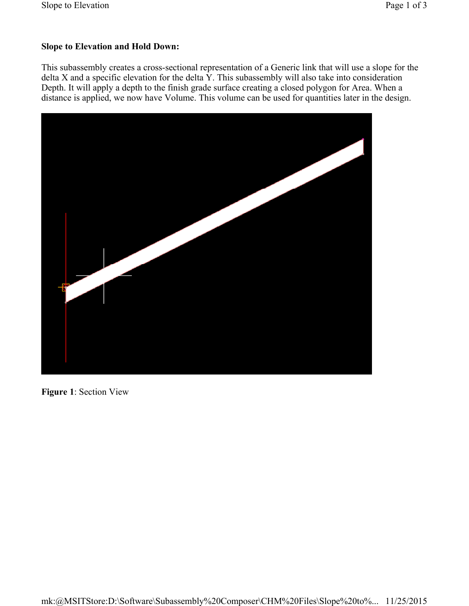## **Slope to Elevation and Hold Down:**

This subassembly creates a cross-sectional representation of a Generic link that will use a slope for the delta X and a specific elevation for the delta Y. This subassembly will also take into consideration Depth. It will apply a depth to the finish grade surface creating a closed polygon for Area. When a distance is applied, we now have Volume. This volume can be used for quantities later in the design.



**Figure 1**: Section View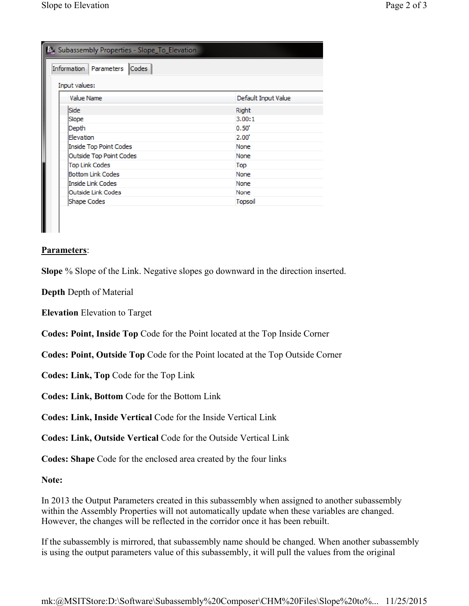| Codes<br>Information Parameters<br>Input values: |                     |
|--------------------------------------------------|---------------------|
| Value Name                                       | Default Input Value |
| <b>Side</b>                                      | <b>Right</b>        |
| Slope                                            | 3.00:1              |
| Depth                                            | 0.50"               |
| <b>Flevation</b>                                 | 2.00                |
| Inside Top Point Codes                           | None                |
| <b>Outside Top Point Codes</b>                   | None                |
| <b>Top Link Codes</b>                            | Top                 |
| <b>Bottom Link Codes</b>                         | None                |
| Inside Link Codes                                | None                |
| Outside Link Codes                               | None                |
| Shape Codes                                      | Topsoil             |

## **Parameters**:

**Slope** % Slope of the Link. Negative slopes go downward in the direction inserted.

**Depth** Depth of Material

**Elevation** Elevation to Target

**Codes: Point, Inside Top** Code for the Point located at the Top Inside Corner

**Codes: Point, Outside Top** Code for the Point located at the Top Outside Corner

**Codes: Link, Top** Code for the Top Link

**Codes: Link, Bottom** Code for the Bottom Link

**Codes: Link, Inside Vertical** Code for the Inside Vertical Link

**Codes: Link, Outside Vertical** Code for the Outside Vertical Link

**Codes: Shape** Code for the enclosed area created by the four links

**Note:**

In 2013 the Output Parameters created in this subassembly when assigned to another subassembly within the Assembly Properties will not automatically update when these variables are changed. However, the changes will be reflected in the corridor once it has been rebuilt.

If the subassembly is mirrored, that subassembly name should be changed. When another subassembly is using the output parameters value of this subassembly, it will pull the values from the original